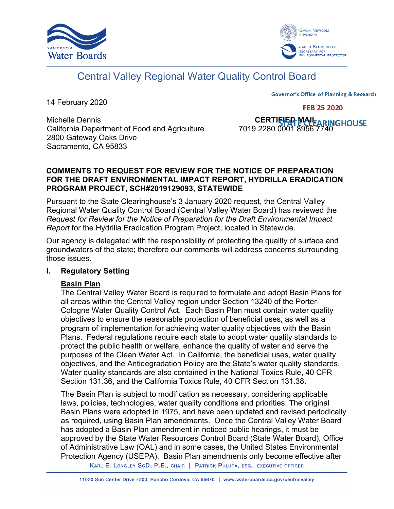



# Central Valley Regional Water Quality Control Board

14 February 2020

**Governor's Office of Planning & Research** 

**FEB 25 2020** 

Michelle Dennis<br>CERTIFIED MAIL<br>California Department of Food and Agriculture 7019 2280 0001 8956 7740 California Department of Food and Agriculture 2800 Gateway Oaks Drive Sacramento, CA 95833

## **COMMENTS TO REQUEST FOR REVIEW FOR THE NOTICE OF PREPARATION FOR THE DRAFT ENVIRONMENTAL IMPACT REPORT, HYDRILLA ERADICATION PROGRAM PROJECT, SCH#2019129093, STATEWIDE**

Pursuant to the State Clearinghouse's 3 January 2020 request, the Central Valley Regional Water Quality Control Board (Central Valley Water Board) has reviewed the *Request for Review for the Notice of Preparation for the Draft Environmental Impact Report* for the Hydrilla Eradication Program Project, located in Statewide.

Our agency is delegated with the responsibility of protecting the quality of surface and groundwaters of the state; therefore our comments will address concerns surrounding those issues.

## **I. Regulatory Setting**

## **Basin Plan**

The Central Valley Water Board is required to formulate and adopt Basin Plans for all areas within the Central Valley region under Section 13240 of the Porter-Cologne Water Quality Control Act. Each Basin Plan must contain water quality objectives to ensure the reasonable protection of beneficial uses, as well as a program of implementation for achieving water quality objectives with the Basin Plans. Federal regulations require each state to adopt water quality standards to protect the public health or welfare, enhance the quality of water and serve the purposes of the Clean Water Act. In California, the beneficial uses, water quality objectives, and the Antidegradation Policy are the State's water quality standards. Water quality standards are also contained in the National Toxics Rule, 40 CFR Section 131.36, and the California Toxics Rule, 40 CFR Section 131.38.

The Basin Plan is subject to modification as necessary, considering applicable laws, policies, technologies, water quality conditions and priorities. The original Basin Plans were adopted in 1975, and have been updated and revised periodically as required, using Basin Plan amendments. Once the Central Valley Water Board has adopted a Basin Plan amendment in noticed public hearings, it must be approved by the State Water Resources Control Board (State Water Board), Office of Administrative Law (OAL) and in some cases, the United States Environmental Protection Agency (USEPA). Basin Plan amendments only become effective after

KARL E. LONGLEY SCD, P.E., CHAIR | PATRICK PULUPA, ESQ., EXECUTIVE OFFICER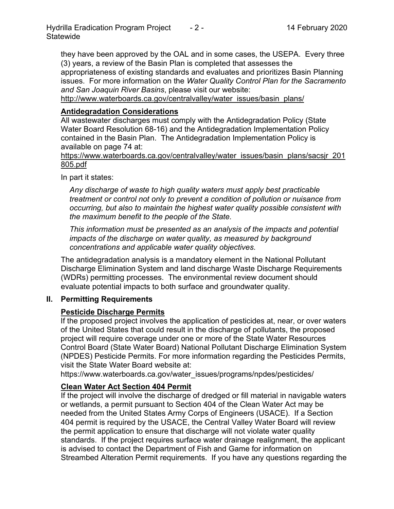they have been approved by the OAL and in some cases, the USEPA. Every three (3) years, a review of the Basin Plan is completed that assesses the appropriateness of existing standards and evaluates and prioritizes Basin Planning issues. For more information on the *Water Quality Control Plan for the Sacramento and San Joaquin River Basins*, please visit our website:

[http://www.waterboards.ca.gov/centralvalley/water\\_issues/basin\\_plans/](http://www.waterboards.ca.gov/centralvalley/water_issues/basin_plans/)

## **Antidegradation Considerations**

All wastewater discharges must comply with the Antidegradation Policy (State Water Board Resolution 68-16) and the Antidegradation Implementation Policy contained in the Basin Plan. The Antidegradation Implementation Policy is available on page 74 at:

https://www.waterboards.ca.gov/centralvalley/water\_issues/basin\_plans/sacsjr\_201 805.pdf

In part it states:

*Any discharge of waste to high quality waters must apply best practicable treatment or control not only to prevent a condition of pollution or nuisance from occurring, but also to maintain the highest water quality possible consistent with the maximum benefit to the people of the State.*

*This information must be presented as an analysis of the impacts and potential impacts of the discharge on water quality, as measured by background concentrations and applicable water quality objectives.*

The antidegradation analysis is a mandatory element in the National Pollutant Discharge Elimination System and land discharge Waste Discharge Requirements (WDRs) permitting processes. The environmental review document should evaluate potential impacts to both surface and groundwater quality.

## **II. Permitting Requirements**

## **Pesticide Discharge Permits**

If the proposed project involves the application of pesticides at, near, or over waters of the United States that could result in the discharge of pollutants, the proposed project will require coverage under one or more of the State Water Resources Control Board (State Water Board) National Pollutant Discharge Elimination System (NPDES) Pesticide Permits. For more information regarding the Pesticides Permits, visit the State Water Board website at:

https://www.waterboards.ca.gov/water\_issues/programs/npdes/pesticides/

## **Clean Water Act Section 404 Permit**

If the project will involve the discharge of dredged or fill material in navigable waters or wetlands, a permit pursuant to Section 404 of the Clean Water Act may be needed from the United States Army Corps of Engineers (USACE). If a Section 404 permit is required by the USACE, the Central Valley Water Board will review the permit application to ensure that discharge will not violate water quality standards. If the project requires surface water drainage realignment, the applicant is advised to contact the Department of Fish and Game for information on Streambed Alteration Permit requirements. If you have any questions regarding the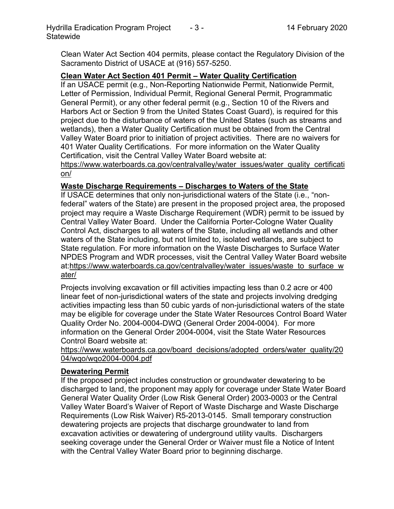Clean Water Act Section 404 permits, please contact the Regulatory Division of the Sacramento District of USACE at (916) 557-5250.

#### **Clean Water Act Section 401 Permit – Water Quality Certification**

If an USACE permit (e.g., Non-Reporting Nationwide Permit, Nationwide Permit, Letter of Permission, Individual Permit, Regional General Permit, Programmatic General Permit), or any other federal permit (e.g., Section 10 of the Rivers and Harbors Act or Section 9 from the United States Coast Guard), is required for this project due to the disturbance of waters of the United States (such as streams and wetlands), then a Water Quality Certification must be obtained from the Central Valley Water Board prior to initiation of project activities. There are no waivers for 401 Water Quality Certifications. For more information on the Water Quality Certification, visit the Central Valley Water Board website at:

https://www.waterboards.ca.gov/centralvalley/water\_issues/water\_quality\_certificati on/

#### **Waste Discharge Requirements – Discharges to Waters of the State**

If USACE determines that only non-jurisdictional waters of the State (i.e., "nonfederal" waters of the State) are present in the proposed project area, the proposed project may require a Waste Discharge Requirement (WDR) permit to be issued by Central Valley Water Board. Under the California Porter-Cologne Water Quality Control Act, discharges to all waters of the State, including all wetlands and other waters of the State including, but not limited to, isolated wetlands, are subject to State regulation. For more information on the Waste Discharges to Surface Water NPDES Program and WDR processes, visit the Central Valley Water Board website at:https://www.waterboards.ca.gov/centralvalley/water\_issues/waste\_to\_surface\_w ater/

Projects involving excavation or fill activities impacting less than 0.2 acre or 400 linear feet of non-jurisdictional waters of the state and projects involving dredging activities impacting less than 50 cubic yards of non-jurisdictional waters of the state may be eligible for coverage under the State Water Resources Control Board Water Quality Order No. 2004-0004-DWQ (General Order 2004-0004). For more information on the General Order 2004-0004, visit the State Water Resources Control Board website at:

https://www.waterboards.ca.gov/board\_decisions/adopted\_orders/water\_quality/20 04/wqo/wqo2004-0004.pdf

#### **Dewatering Permit**

If the proposed project includes construction or groundwater dewatering to be discharged to land, the proponent may apply for coverage under State Water Board General Water Quality Order (Low Risk General Order) 2003-0003 or the Central Valley Water Board's Waiver of Report of Waste Discharge and Waste Discharge Requirements (Low Risk Waiver) R5-2013-0145. Small temporary construction dewatering projects are projects that discharge groundwater to land from excavation activities or dewatering of underground utility vaults. Dischargers seeking coverage under the General Order or Waiver must file a Notice of Intent with the Central Valley Water Board prior to beginning discharge.